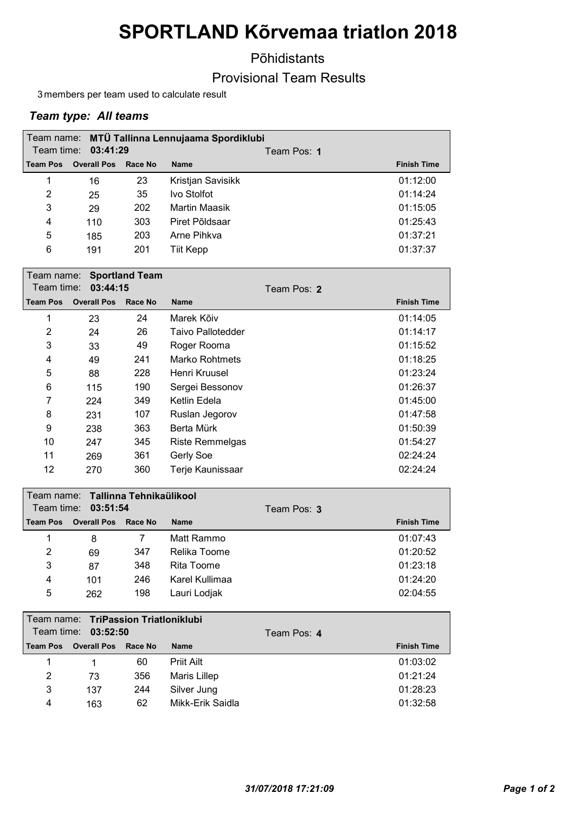# SPORTLAND Kõrvemaa triatlon 2018

Põhidistants

### Provisional Team Results

3 members per team used to calculate result

#### Team type: All teams

|                 |                    |         | Team name: MTÜ Tallinna Lennujaama Spordiklubi |             |                    |
|-----------------|--------------------|---------|------------------------------------------------|-------------|--------------------|
| Team time:      | 03:41:29           |         |                                                | Team Pos: 1 |                    |
| <b>Team Pos</b> | <b>Overall Pos</b> | Race No | <b>Name</b>                                    |             | <b>Finish Time</b> |
| 1               | 16                 | 23      | Kristjan Savisikk                              |             | 01:12:00           |
| 2               | 25                 | 35      | Ivo Stolfot                                    |             | 01:14:24           |
| 3               | 29                 | 202     | Martin Maasik                                  |             | 01:15:05           |
| 4               | 110                | 303     | Piret Põldsaar                                 |             | 01:25:43           |
| 5               | 185                | 203     | Arne Pihkva                                    |             | 01:37:21           |
| 6               | 191                | 201     | Tiit Kepp                                      |             | 01:37:37           |

| Team name:<br>Team time: |                    | <b>Sportland Team</b> |                   |                    |
|--------------------------|--------------------|-----------------------|-------------------|--------------------|
|                          | 03:44:15           |                       | Team Pos: 2       |                    |
| <b>Team Pos</b>          | <b>Overall Pos</b> | <b>Race No</b>        | <b>Name</b>       | <b>Finish Time</b> |
| 1                        | 23                 | 24                    | Marek Kõiv        | 01:14:05           |
| 2                        | 24                 | 26                    | Taivo Pallotedder | 01:14:17           |
| 3                        | 33                 | 49                    | Roger Rooma       | 01:15:52           |
| 4                        | 49                 | 241                   | Marko Rohtmets    | 01:18:25           |
| 5                        | 88                 | 228                   | Henri Kruusel     | 01:23:24           |
| 6                        | 115                | 190                   | Sergei Bessonov   | 01:26:37           |
| 7                        | 224                | 349                   | Ketlin Edela      | 01:45:00           |
| 8                        | 231                | 107                   | Ruslan Jegorov    | 01:47:58           |
| 9                        | 238                | 363                   | Berta Mürk        | 01:50:39           |
| 10                       | 247                | 345                   | Riste Remmelgas   | 01:54:27           |
| 11                       | 269                | 361                   | <b>Gerly Soe</b>  | 02:24:24           |
| 12                       | 270                | 360                   | Terje Kaunissaar  | 02:24:24           |

| l Team name: ITallinna Tehnikaülikool |                     |         |                |             |                    |
|---------------------------------------|---------------------|---------|----------------|-------------|--------------------|
|                                       | Team time: 03:51:54 |         |                | Team Pos: 3 |                    |
| Team Pos                              | <b>Overall Pos</b>  | Race No | Name           |             | <b>Finish Time</b> |
|                                       | 8                   |         | Matt Rammo     |             | 01:07:43           |
| 2                                     | 69                  | 347     | Relika Toome   |             | 01:20:52           |
| 3                                     | 87                  | 348     | Rita Toome     |             | 01:23:18           |
| 4                                     | 101                 | 246     | Karel Kullimaa |             | 01:24:20           |
| 5                                     | 262                 | 198     | Lauri Lodjak   |             | 02:04:55           |

|                 | Team name: TriPassion Triatloniklubi |         |                  |             |                    |
|-----------------|--------------------------------------|---------|------------------|-------------|--------------------|
|                 | Team time: 03:52:50                  |         |                  | Team Pos: 4 |                    |
| <b>Team Pos</b> | <b>Overall Pos</b>                   | Race No | <b>Name</b>      |             | <b>Finish Time</b> |
|                 |                                      | 60      | Priit Ailt       |             | 01:03:02           |
| 2               | 73                                   | 356     | Maris Lillep     |             | 01:21:24           |
| 3               | 137                                  | 244     | Silver Jung      |             | 01:28:23           |
| 4               | 163                                  | 62      | Mikk-Erik Saidla |             | 01:32:58           |